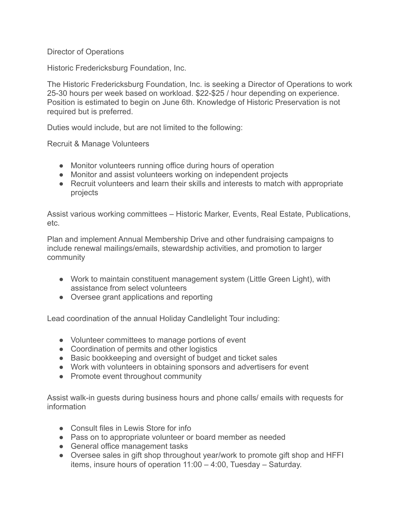## Director of Operations

Historic Fredericksburg Foundation, Inc.

The Historic Fredericksburg Foundation, Inc. is seeking a Director of Operations to work 25-30 hours per week based on workload. \$22-\$25 / hour depending on experience. Position is estimated to begin on June 6th. Knowledge of Historic Preservation is not required but is preferred.

Duties would include, but are not limited to the following:

Recruit & Manage Volunteers

- Monitor volunteers running office during hours of operation
- Monitor and assist volunteers working on independent projects
- Recruit volunteers and learn their skills and interests to match with appropriate projects

Assist various working committees – Historic Marker, Events, Real Estate, Publications, etc.

Plan and implement Annual Membership Drive and other fundraising campaigns to include renewal mailings/emails, stewardship activities, and promotion to larger community

- Work to maintain constituent management system (Little Green Light), with assistance from select volunteers
- Oversee grant applications and reporting

Lead coordination of the annual Holiday Candlelight Tour including:

- Volunteer committees to manage portions of event
- Coordination of permits and other logistics
- Basic bookkeeping and oversight of budget and ticket sales
- Work with volunteers in obtaining sponsors and advertisers for event
- Promote event throughout community

Assist walk-in guests during business hours and phone calls/ emails with requests for information

- Consult files in Lewis Store for info
- Pass on to appropriate volunteer or board member as needed
- General office management tasks
- Oversee sales in gift shop throughout year/work to promote gift shop and HFFI items, insure hours of operation 11:00 – 4:00, Tuesday – Saturday.